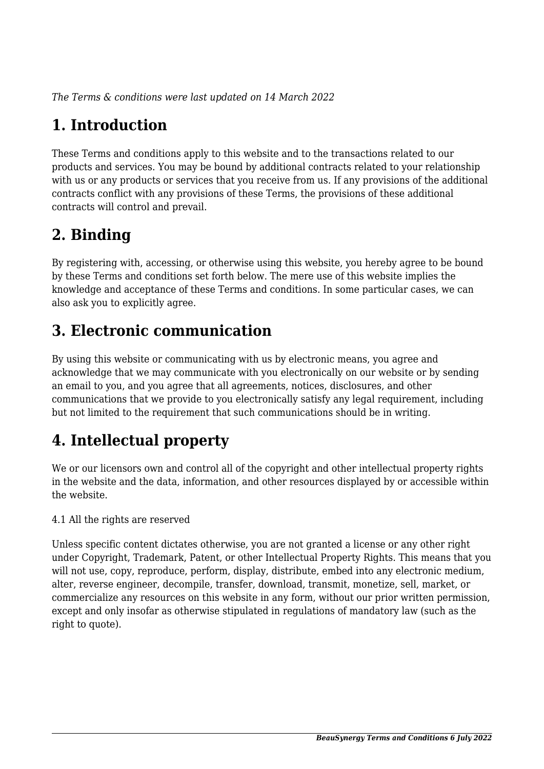*The Terms & conditions were last updated on 14 March 2022*

# **1. Introduction**

These Terms and conditions apply to this website and to the transactions related to our products and services. You may be bound by additional contracts related to your relationship with us or any products or services that you receive from us. If any provisions of the additional contracts conflict with any provisions of these Terms, the provisions of these additional contracts will control and prevail.

# **2. Binding**

By registering with, accessing, or otherwise using this website, you hereby agree to be bound by these Terms and conditions set forth below. The mere use of this website implies the knowledge and acceptance of these Terms and conditions. In some particular cases, we can also ask you to explicitly agree.

# **3. Electronic communication**

By using this website or communicating with us by electronic means, you agree and acknowledge that we may communicate with you electronically on our website or by sending an email to you, and you agree that all agreements, notices, disclosures, and other communications that we provide to you electronically satisfy any legal requirement, including but not limited to the requirement that such communications should be in writing.

# **4. Intellectual property**

We or our licensors own and control all of the copyright and other intellectual property rights in the website and the data, information, and other resources displayed by or accessible within the website.

4.1 All the rights are reserved

Unless specific content dictates otherwise, you are not granted a license or any other right under Copyright, Trademark, Patent, or other Intellectual Property Rights. This means that you will not use, copy, reproduce, perform, display, distribute, embed into any electronic medium, alter, reverse engineer, decompile, transfer, download, transmit, monetize, sell, market, or commercialize any resources on this website in any form, without our prior written permission, except and only insofar as otherwise stipulated in regulations of mandatory law (such as the right to quote).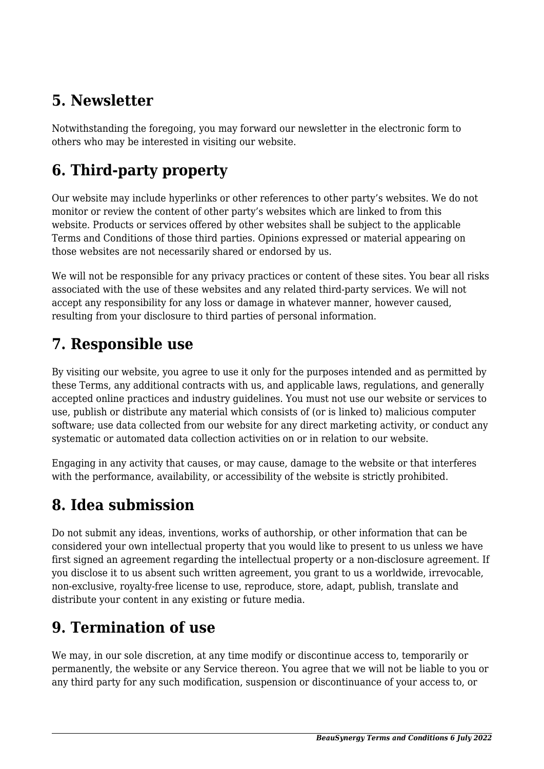# **5. Newsletter**

Notwithstanding the foregoing, you may forward our newsletter in the electronic form to others who may be interested in visiting our website.

# **6. Third-party property**

Our website may include hyperlinks or other references to other party's websites. We do not monitor or review the content of other party's websites which are linked to from this website. Products or services offered by other websites shall be subject to the applicable Terms and Conditions of those third parties. Opinions expressed or material appearing on those websites are not necessarily shared or endorsed by us.

We will not be responsible for any privacy practices or content of these sites. You bear all risks associated with the use of these websites and any related third-party services. We will not accept any responsibility for any loss or damage in whatever manner, however caused, resulting from your disclosure to third parties of personal information.

### **7. Responsible use**

By visiting our website, you agree to use it only for the purposes intended and as permitted by these Terms, any additional contracts with us, and applicable laws, regulations, and generally accepted online practices and industry guidelines. You must not use our website or services to use, publish or distribute any material which consists of (or is linked to) malicious computer software; use data collected from our website for any direct marketing activity, or conduct any systematic or automated data collection activities on or in relation to our website.

Engaging in any activity that causes, or may cause, damage to the website or that interferes with the performance, availability, or accessibility of the website is strictly prohibited.

# **8. Idea submission**

Do not submit any ideas, inventions, works of authorship, or other information that can be considered your own intellectual property that you would like to present to us unless we have first signed an agreement regarding the intellectual property or a non-disclosure agreement. If you disclose it to us absent such written agreement, you grant to us a worldwide, irrevocable, non-exclusive, royalty-free license to use, reproduce, store, adapt, publish, translate and distribute your content in any existing or future media.

# **9. Termination of use**

We may, in our sole discretion, at any time modify or discontinue access to, temporarily or permanently, the website or any Service thereon. You agree that we will not be liable to you or any third party for any such modification, suspension or discontinuance of your access to, or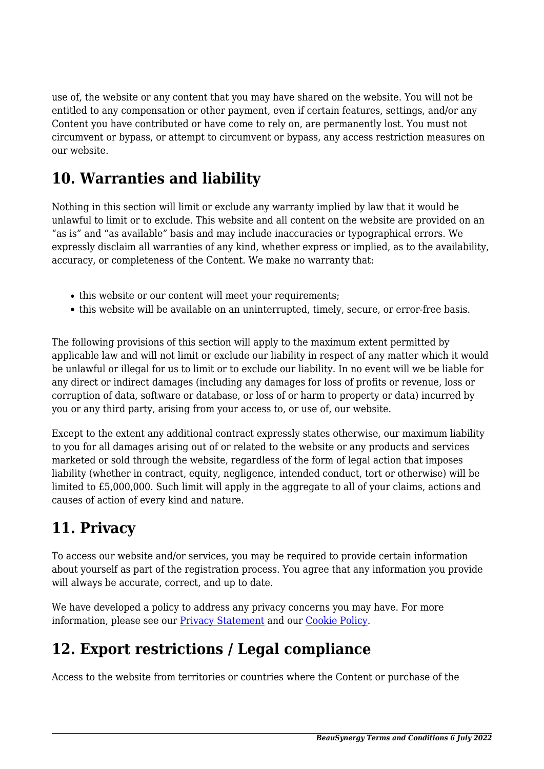use of, the website or any content that you may have shared on the website. You will not be entitled to any compensation or other payment, even if certain features, settings, and/or any Content you have contributed or have come to rely on, are permanently lost. You must not circumvent or bypass, or attempt to circumvent or bypass, any access restriction measures on our website.

## **10. Warranties and liability**

Nothing in this section will limit or exclude any warranty implied by law that it would be unlawful to limit or to exclude. This website and all content on the website are provided on an "as is" and "as available" basis and may include inaccuracies or typographical errors. We expressly disclaim all warranties of any kind, whether express or implied, as to the availability, accuracy, or completeness of the Content. We make no warranty that:

- this website or our content will meet your requirements;
- this website will be available on an uninterrupted, timely, secure, or error-free basis.

The following provisions of this section will apply to the maximum extent permitted by applicable law and will not limit or exclude our liability in respect of any matter which it would be unlawful or illegal for us to limit or to exclude our liability. In no event will we be liable for any direct or indirect damages (including any damages for loss of profits or revenue, loss or corruption of data, software or database, or loss of or harm to property or data) incurred by you or any third party, arising from your access to, or use of, our website.

Except to the extent any additional contract expressly states otherwise, our maximum liability to you for all damages arising out of or related to the website or any products and services marketed or sold through the website, regardless of the form of legal action that imposes liability (whether in contract, equity, negligence, intended conduct, tort or otherwise) will be limited to £5,000,000. Such limit will apply in the aggregate to all of your claims, actions and causes of action of every kind and nature.

# **11. Privacy**

To access our website and/or services, you may be required to provide certain information about yourself as part of the registration process. You agree that any information you provide will always be accurate, correct, and up to date.

We have developed a policy to address any privacy concerns you may have. For more information, please see our **Privacy Statement** and our [Cookie Policy](https://www.beausynergy.co.uk/cookie-policy-uk/).

### **12. Export restrictions / Legal compliance**

Access to the website from territories or countries where the Content or purchase of the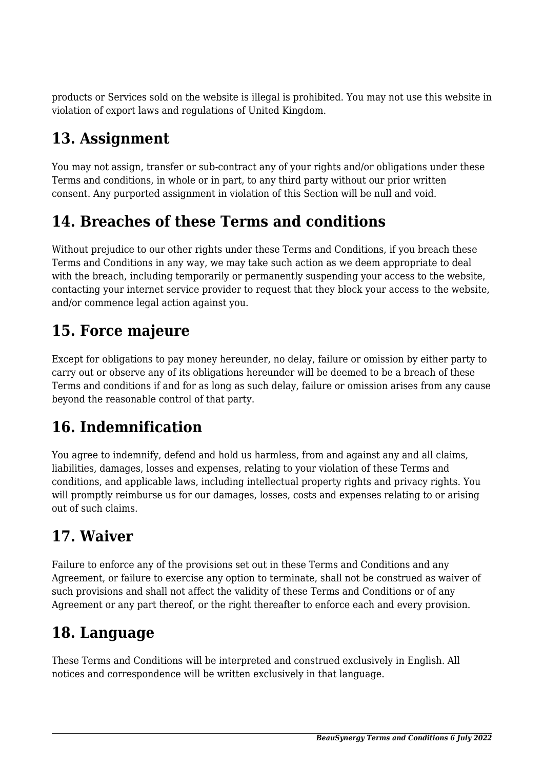products or Services sold on the website is illegal is prohibited. You may not use this website in violation of export laws and regulations of United Kingdom.

# **13. Assignment**

You may not assign, transfer or sub-contract any of your rights and/or obligations under these Terms and conditions, in whole or in part, to any third party without our prior written consent. Any purported assignment in violation of this Section will be null and void.

# **14. Breaches of these Terms and conditions**

Without prejudice to our other rights under these Terms and Conditions, if you breach these Terms and Conditions in any way, we may take such action as we deem appropriate to deal with the breach, including temporarily or permanently suspending your access to the website, contacting your internet service provider to request that they block your access to the website, and/or commence legal action against you.

## **15. Force majeure**

Except for obligations to pay money hereunder, no delay, failure or omission by either party to carry out or observe any of its obligations hereunder will be deemed to be a breach of these Terms and conditions if and for as long as such delay, failure or omission arises from any cause beyond the reasonable control of that party.

### **16. Indemnification**

You agree to indemnify, defend and hold us harmless, from and against any and all claims, liabilities, damages, losses and expenses, relating to your violation of these Terms and conditions, and applicable laws, including intellectual property rights and privacy rights. You will promptly reimburse us for our damages, losses, costs and expenses relating to or arising out of such claims.

### **17. Waiver**

Failure to enforce any of the provisions set out in these Terms and Conditions and any Agreement, or failure to exercise any option to terminate, shall not be construed as waiver of such provisions and shall not affect the validity of these Terms and Conditions or of any Agreement or any part thereof, or the right thereafter to enforce each and every provision.

### **18. Language**

These Terms and Conditions will be interpreted and construed exclusively in English. All notices and correspondence will be written exclusively in that language.